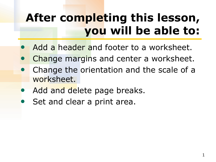## **After completing this lesson, you will be able to:**

- Add a header and footer to a worksheet.
- Change margins and center a worksheet.
- Change the orientation and the scale of a worksheet.
- Add and delete page breaks.
- Set and clear a print area.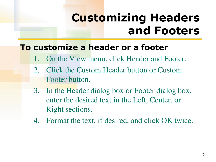### **Customizing Headers and Footers**

#### **To customize a header or a footer**

- 1. On the View menu, click Header and Footer.
- 2. Click the Custom Header button or Custom Footer button.
- 3. In the Header dialog box or Footer dialog box, enter the desired text in the Left, Center, or Right sections.
- 4. Format the text, if desired, and click OK twice.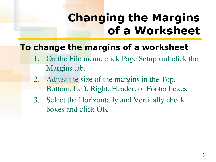# **Changing the Margins of a Worksheet**

#### **To change the margins of a worksheet**

- 1. On the File menu, click Page Setup and click the Margins tab.
- 2. Adjust the size of the margins in the Top, Bottom, Left, Right, Header, or Footer boxes.
- 3. Select the Horizontally and Vertically check boxes and click OK.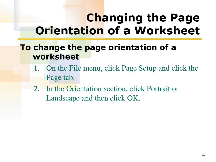## **Changing the Page Orientation of a Worksheet**

#### **To change the page orientation of a worksheet**

- 1. On the File menu, click Page Setup and click the Page tab.
- 2. In the Orientation section, click Portrait or Landscape and then click OK.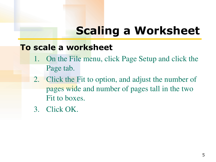# **Scaling a Worksheet**

#### **To scale a worksheet**

- 1. On the File menu, click Page Setup and click the Page tab.
- 2. Click the Fit to option, and adjust the number of pages wide and number of pages tall in the two Fit to boxes.
- 3. Click OK.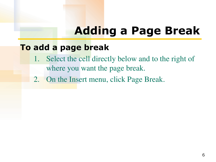## **Adding a Page Break**

#### **To add a page break**

- 1. Select the cell directly below and to the right of where you want the page break.
- 2. On the Insert menu, click Page Break.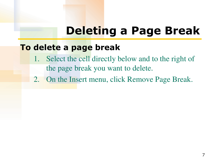### **Deleting a Page Break**

#### **To delete a page break**

- 1. Select the cell directly below and to the right of the page break you want to delete.
- 2. On the Insert menu, click Remove Page Break.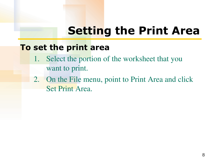## **Setting the Print Area**

#### **To set the print area**

- 1. Select the portion of the worksheet that you want to print.
- 2. On the File menu, point to Print Area and click Set Print Area.